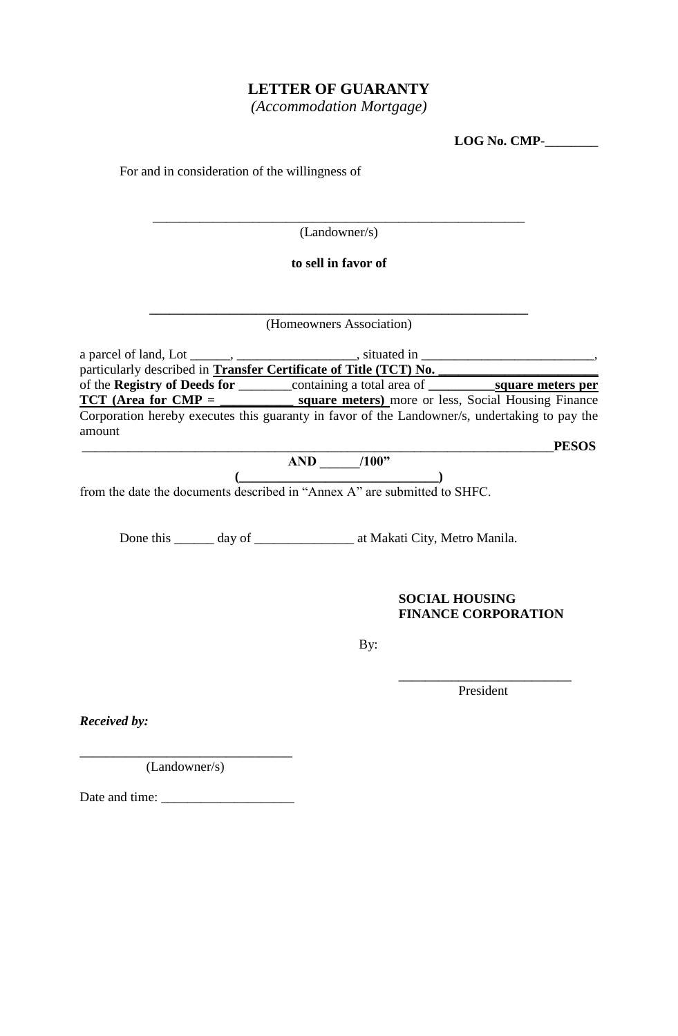## **LETTER OF GUARANTY**

*(Accommodation Mortgage)*

| LOG No. CMP- |  |
|--------------|--|
|--------------|--|

| For and in consideration of the willingness of |                                                                                                              |              |
|------------------------------------------------|--------------------------------------------------------------------------------------------------------------|--------------|
|                                                | (Landowner/s)                                                                                                |              |
|                                                | to sell in favor of                                                                                          |              |
|                                                | (Homeowners Association)                                                                                     |              |
|                                                | a parcel of land, Lot _______, _____________________, situated in _____________________________,             |              |
|                                                |                                                                                                              |              |
|                                                | $TCT$ (Area for $CMP =$ square meters) more or less, Social Housing Finance                                  |              |
|                                                | Corporation hereby executes this guaranty in favor of the Landowner/s, undertaking to pay the                |              |
| amount                                         |                                                                                                              |              |
|                                                |                                                                                                              | <b>PESOS</b> |
|                                                | $\overbrace{(\text{from the date the documents described in "Annex A" are submitted to SHFC})}^{\text{AND}}$ |              |
|                                                |                                                                                                              |              |
|                                                |                                                                                                              |              |
|                                                | Done this ______ day of __________________ at Makati City, Metro Manila.                                     |              |
|                                                | <b>SOCIAL HOUSING</b><br><b>FINANCE CORPORATION</b>                                                          |              |
|                                                | By:                                                                                                          |              |
|                                                | President                                                                                                    |              |

*Received by:*

(Landowner/s)

\_\_\_\_\_\_\_\_\_\_\_\_\_\_\_\_\_\_\_\_\_\_\_\_\_\_\_\_\_\_\_\_

Date and time: \_\_\_\_\_\_\_\_\_\_\_\_\_\_\_\_\_\_\_\_